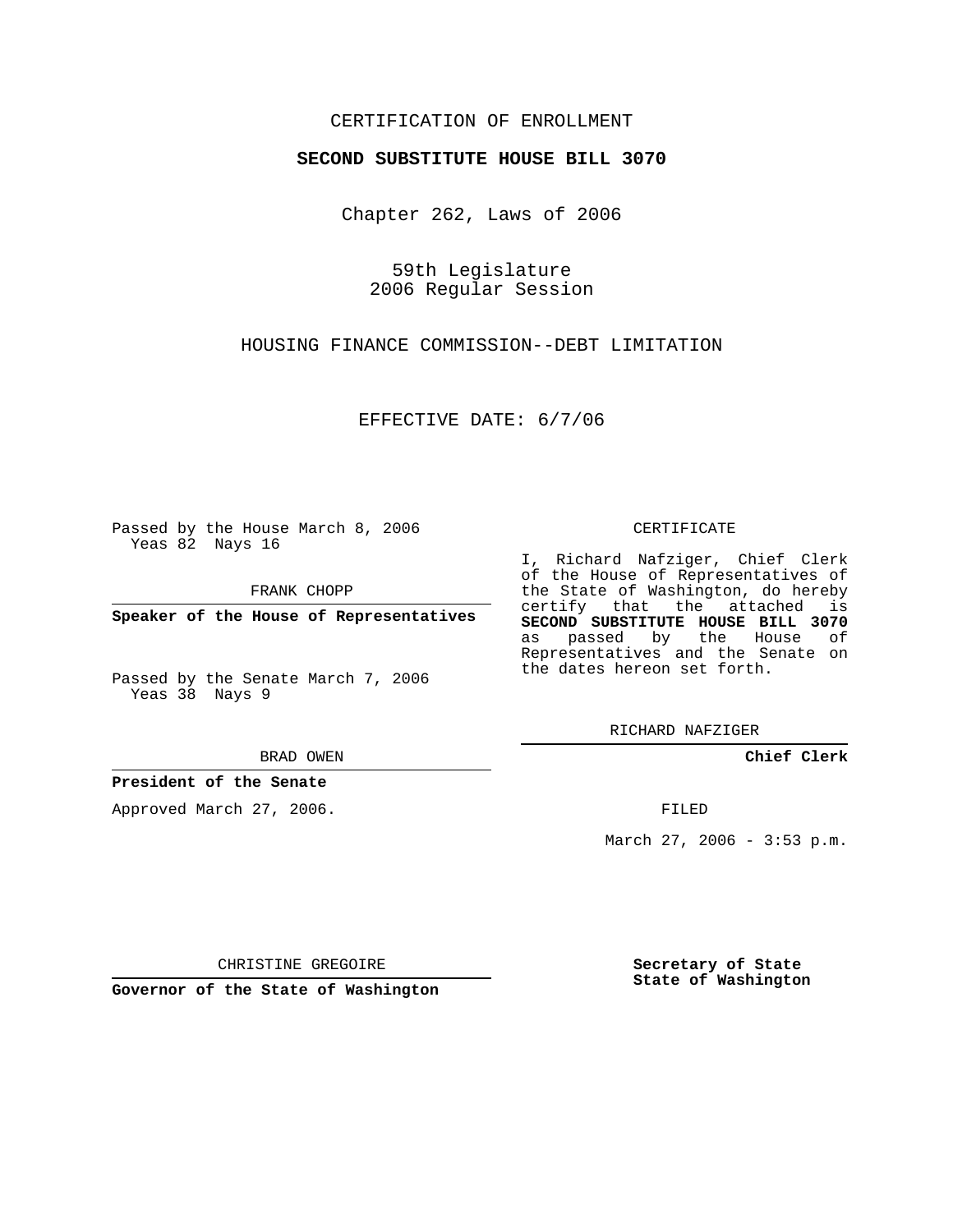## CERTIFICATION OF ENROLLMENT

### **SECOND SUBSTITUTE HOUSE BILL 3070**

Chapter 262, Laws of 2006

59th Legislature 2006 Regular Session

HOUSING FINANCE COMMISSION--DEBT LIMITATION

EFFECTIVE DATE: 6/7/06

Passed by the House March 8, 2006 Yeas 82 Nays 16

FRANK CHOPP

**Speaker of the House of Representatives**

Passed by the Senate March 7, 2006 Yeas 38 Nays 9

BRAD OWEN

### **President of the Senate**

Approved March 27, 2006.

#### CERTIFICATE

I, Richard Nafziger, Chief Clerk of the House of Representatives of the State of Washington, do hereby certify that the attached is **SECOND SUBSTITUTE HOUSE BILL 3070** as passed by the House of Representatives and the Senate on the dates hereon set forth.

RICHARD NAFZIGER

**Chief Clerk**

FILED

March 27, 2006 - 3:53 p.m.

CHRISTINE GREGOIRE

**Governor of the State of Washington**

**Secretary of State State of Washington**